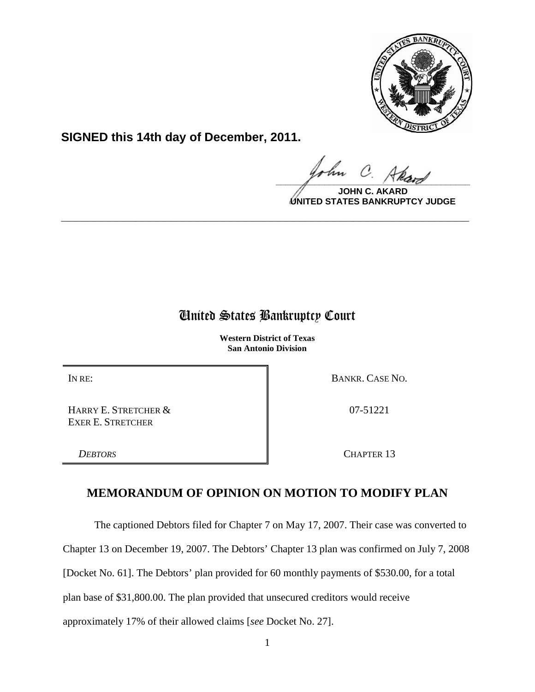

**SIGNED this 14th day of December, 2011.**

 $\frac{1}{\sqrt{1-\frac{1}{2}}\sqrt{1-\frac{1}{2}}\sqrt{1-\frac{1}{2}}\sqrt{1-\frac{1}{2}}\sqrt{1-\frac{1}{2}}\sqrt{1-\frac{1}{2}}\sqrt{1-\frac{1}{2}}\sqrt{1-\frac{1}{2}}\sqrt{1-\frac{1}{2}}\sqrt{1-\frac{1}{2}}\sqrt{1-\frac{1}{2}}\sqrt{1-\frac{1}{2}}\sqrt{1-\frac{1}{2}}\sqrt{1-\frac{1}{2}}\sqrt{1-\frac{1}{2}}\sqrt{1-\frac{1}{2}}\sqrt{1-\frac{1}{2}}\sqrt{1-\frac{1}{2}}\sqrt{1-\frac{1}{2}}\sqrt{1-\frac$ 

**JOHN C. AKARD UNITED STATES BANKRUPTCY JUDGE**

## United States Bankruptcy Court

**\_\_\_\_\_\_\_\_\_\_\_\_\_\_\_\_\_\_\_\_\_\_\_\_\_\_\_\_\_\_\_\_\_\_\_\_\_\_\_\_\_\_\_\_\_\_\_\_\_\_\_\_\_\_\_\_\_\_\_\_**

**Western District of Texas San Antonio Division**

HARRY E. STRETCHER & EXER E. STRETCHER

IN RE: BANKR. CASE NO.

07-51221

*DEBTORS* CHAPTER 13

## **MEMORANDUM OF OPINION ON MOTION TO MODIFY PLAN**

The captioned Debtors filed for Chapter 7 on May 17, 2007. Their case was converted to

Chapter 13 on December 19, 2007. The Debtors' Chapter 13 plan was confirmed on July 7, 2008

[Docket No. 61]. The Debtors' plan provided for 60 monthly payments of \$530.00, for a total

plan base of \$31,800.00. The plan provided that unsecured creditors would receive

approximately 17% of their allowed claims [*see* Docket No. 27].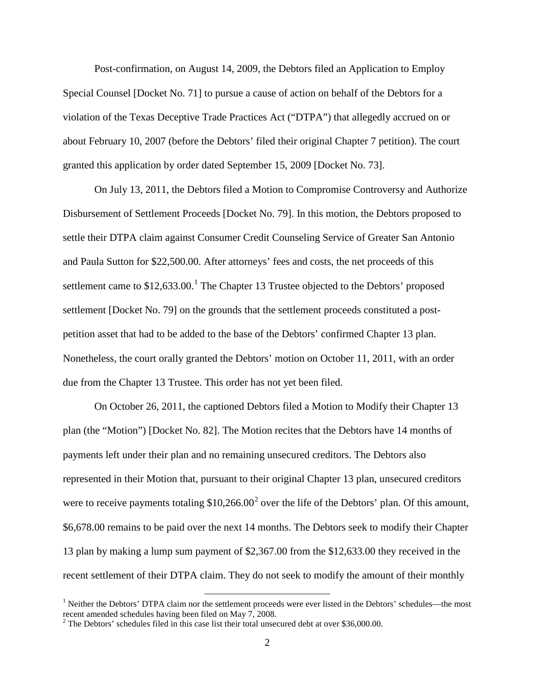Post-confirmation, on August 14, 2009, the Debtors filed an Application to Employ Special Counsel [Docket No. 71] to pursue a cause of action on behalf of the Debtors for a violation of the Texas Deceptive Trade Practices Act ("DTPA") that allegedly accrued on or about February 10, 2007 (before the Debtors' filed their original Chapter 7 petition). The court granted this application by order dated September 15, 2009 [Docket No. 73].

On July 13, 2011, the Debtors filed a Motion to Compromise Controversy and Authorize Disbursement of Settlement Proceeds [Docket No. 79]. In this motion, the Debtors proposed to settle their DTPA claim against Consumer Credit Counseling Service of Greater San Antonio and Paula Sutton for \$22,500.00. After attorneys' fees and costs, the net proceeds of this settlement came to  $$12,633.00$  $$12,633.00$  $$12,633.00$ .<sup>1</sup> The Chapter 13 Trustee objected to the Debtors' proposed settlement [Docket No. 79] on the grounds that the settlement proceeds constituted a postpetition asset that had to be added to the base of the Debtors' confirmed Chapter 13 plan. Nonetheless, the court orally granted the Debtors' motion on October 11, 2011, with an order due from the Chapter 13 Trustee. This order has not yet been filed.

On October 26, 2011, the captioned Debtors filed a Motion to Modify their Chapter 13 plan (the "Motion") [Docket No. 82]. The Motion recites that the Debtors have 14 months of payments left under their plan and no remaining unsecured creditors. The Debtors also represented in their Motion that, pursuant to their original Chapter 13 plan, unsecured creditors were to receive payments totaling  $$10,266.00^2$  $$10,266.00^2$  $$10,266.00^2$  over the life of the Debtors' plan. Of this amount, \$6,678.00 remains to be paid over the next 14 months. The Debtors seek to modify their Chapter 13 plan by making a lump sum payment of \$2,367.00 from the \$12,633.00 they received in the recent settlement of their DTPA claim. They do not seek to modify the amount of their monthly

<span id="page-1-0"></span> $<sup>1</sup>$  Neither the Debtors' DTPA claim nor the settlement proceeds were ever listed in the Debtors' schedules—the most</sup> recent amended schedules having been filed on May 7, 2008.

<span id="page-1-1"></span><sup>&</sup>lt;sup>2</sup> The Debtors' schedules filed in this case list their total unsecured debt at over \$36,000.00.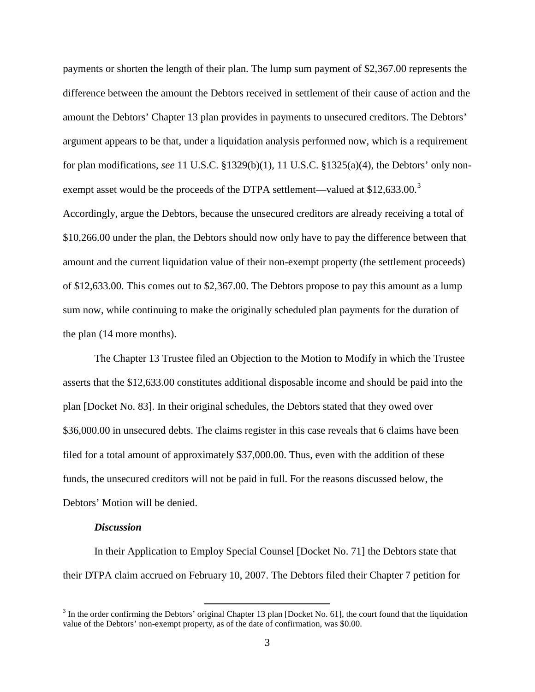payments or shorten the length of their plan. The lump sum payment of \$2,367.00 represents the difference between the amount the Debtors received in settlement of their cause of action and the amount the Debtors' Chapter 13 plan provides in payments to unsecured creditors. The Debtors' argument appears to be that, under a liquidation analysis performed now, which is a requirement for plan modifications, *see* 11 U.S.C. §1329(b)(1), 11 U.S.C. §1325(a)(4), the Debtors' only nonexempt asset would be the proceeds of the DTPA settlement—valued at  $$12,633.00.^3$  $$12,633.00.^3$  $$12,633.00.^3$ 

Accordingly, argue the Debtors, because the unsecured creditors are already receiving a total of \$10,266.00 under the plan, the Debtors should now only have to pay the difference between that amount and the current liquidation value of their non-exempt property (the settlement proceeds) of \$12,633.00. This comes out to \$2,367.00. The Debtors propose to pay this amount as a lump sum now, while continuing to make the originally scheduled plan payments for the duration of the plan (14 more months).

The Chapter 13 Trustee filed an Objection to the Motion to Modify in which the Trustee asserts that the \$12,633.00 constitutes additional disposable income and should be paid into the plan [Docket No. 83]. In their original schedules, the Debtors stated that they owed over \$36,000.00 in unsecured debts. The claims register in this case reveals that 6 claims have been filed for a total amount of approximately \$37,000.00. Thus, even with the addition of these funds, the unsecured creditors will not be paid in full. For the reasons discussed below, the Debtors' Motion will be denied.

## *Discussion*

In their Application to Employ Special Counsel [Docket No. 71] the Debtors state that their DTPA claim accrued on February 10, 2007. The Debtors filed their Chapter 7 petition for

<span id="page-2-0"></span> $3$  In the order confirming the Debtors' original Chapter 13 plan [Docket No. 61], the court found that the liquidation value of the Debtors' non-exempt property, as of the date of confirmation, was \$0.00.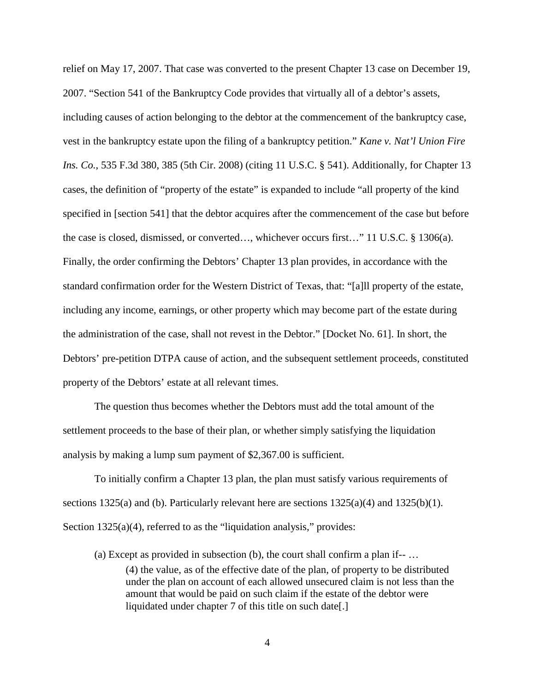relief on May 17, 2007. That case was converted to the present Chapter 13 case on December 19, 2007. "Section 541 of the Bankruptcy Code provides that virtually all of a debtor's assets, including causes of action belonging to the debtor at the commencement of the bankruptcy case, vest in the bankruptcy estate upon the filing of a bankruptcy petition." *Kane v. Nat'l Union Fire Ins. Co.*, 535 F.3d 380, 385 (5th Cir. 2008) (citing 11 U.S.C. § 541). Additionally, for Chapter 13 cases, the definition of "property of the estate" is expanded to include "all property of the kind specified in [section 541] that the debtor acquires after the commencement of the case but before the case is closed, dismissed, or converted…, whichever occurs first…" 11 U.S.C. § 1306(a). Finally, the order confirming the Debtors' Chapter 13 plan provides, in accordance with the standard confirmation order for the Western District of Texas, that: "[a]ll property of the estate, including any income, earnings, or other property which may become part of the estate during the administration of the case, shall not revest in the Debtor." [Docket No. 61]. In short, the Debtors' pre-petition DTPA cause of action, and the subsequent settlement proceeds, constituted property of the Debtors' estate at all relevant times.

The question thus becomes whether the Debtors must add the total amount of the settlement proceeds to the base of their plan, or whether simply satisfying the liquidation analysis by making a lump sum payment of \$2,367.00 is sufficient.

To initially confirm a Chapter 13 plan, the plan must satisfy various requirements of sections 1325(a) and (b). Particularly relevant here are sections  $1325(a)(4)$  and  $1325(b)(1)$ . Section 1325(a)(4), referred to as the "liquidation analysis," provides:

(a) Except as provided in subsection (b), the court shall confirm a plan if-- … (4) the value, as of the effective date of the plan, of property to be distributed under the plan on account of each allowed unsecured claim is not less than the amount that would be paid on such claim if the estate of the debtor were liquidated under chapter 7 of this title on such date[.]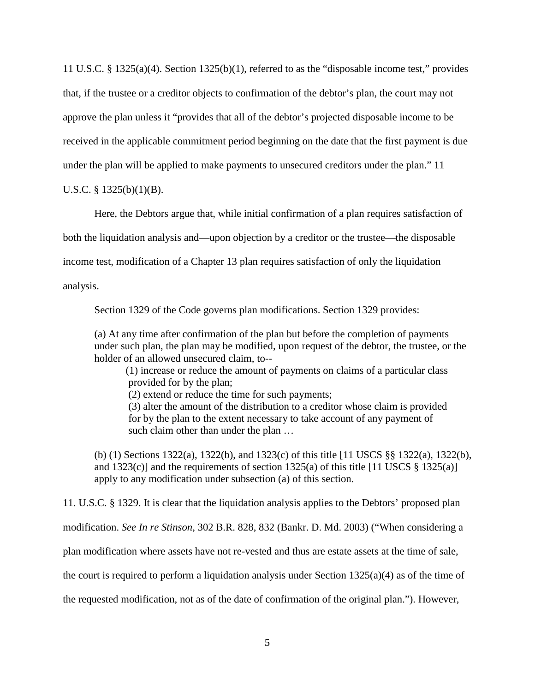11 U.S.C. § 1325(a)(4). Section 1325(b)(1), referred to as the "disposable income test," provides that, if the trustee or a creditor objects to confirmation of the debtor's plan, the court may not approve the plan unless it "provides that all of the debtor's projected disposable income to be received in the applicable commitment period beginning on the date that the first payment is due under the plan will be applied to make payments to unsecured creditors under the plan." 11

U.S.C. § 1325(b)(1)(B).

Here, the Debtors argue that, while initial confirmation of a plan requires satisfaction of

both the liquidation analysis and—upon objection by a creditor or the trustee—the disposable

income test, modification of a Chapter 13 plan requires satisfaction of only the liquidation

analysis.

Section 1329 of the Code governs plan modifications. Section 1329 provides:

(a) At any time after confirmation of the plan but before the completion of payments under such plan, the plan may be modified, upon request of the debtor, the trustee, or the holder of an allowed unsecured claim, to--

 (1) increase or reduce the amount of payments on claims of a particular class provided for by the plan;

(2) extend or reduce the time for such payments;

 (3) alter the amount of the distribution to a creditor whose claim is provided for by the plan to the extent necessary to take account of any payment of such claim other than under the plan ...

(b) (1) Sections 1322(a), 1322(b), and 1323(c) of this title [11 USCS §§ 1322(a), 1322(b), and 1323(c)] and the requirements of section 1325(a) of this title [11 USCS  $\S$  1325(a)] apply to any modification under subsection (a) of this section.

11. U.S.C. § 1329. It is clear that the liquidation analysis applies to the Debtors' proposed plan modification. *See In re Stinson*, 302 B.R. 828, 832 (Bankr. D. Md. 2003) ("When considering a plan modification where assets have not re-vested and thus are estate assets at the time of sale, the court is required to perform a liquidation analysis under Section 1325(a)(4) as of the time of the requested modification, not as of the date of confirmation of the original plan."). However,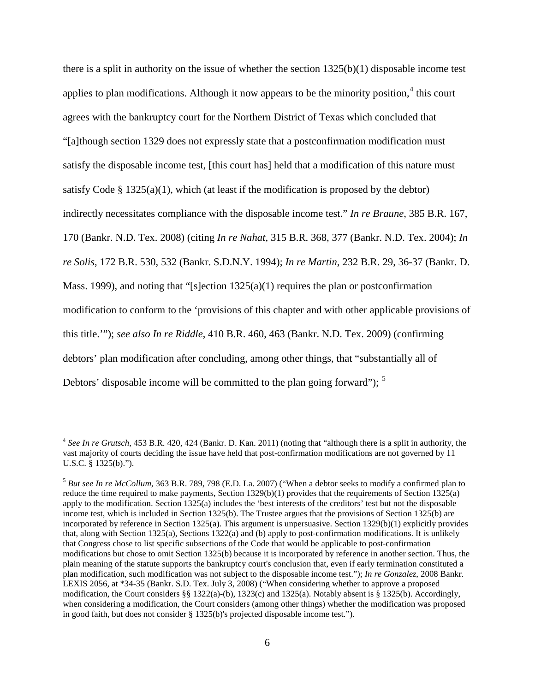there is a split in authority on the issue of whether the section 1325(b)(1) disposable income test applies to plan modifications. Although it now appears to be the minority position,<sup>[4](#page-5-0)</sup> this court agrees with the bankruptcy court for the Northern District of Texas which concluded that "[a]though section 1329 does not expressly state that a postconfirmation modification must satisfy the disposable income test, [this court has] held that a modification of this nature must satisfy Code  $\S 1325(a)(1)$ , which (at least if the modification is proposed by the debtor) indirectly necessitates compliance with the disposable income test." *In re Braune*, 385 B.R. 167, 170 (Bankr. N.D. Tex. 2008) (citing *In re Nahat*, 315 B.R. 368, 377 (Bankr. N.D. Tex. 2004); *In re Solis*, 172 B.R. 530, 532 (Bankr. S.D.N.Y. 1994); *In re Martin*, 232 B.R. 29, 36-37 (Bankr. D. Mass. 1999), and noting that "[s]ection  $1325(a)(1)$  requires the plan or postconfirmation modification to conform to the 'provisions of this chapter and with other applicable provisions of this title.'"); *see also In re Riddle*, 410 B.R. 460, 463 (Bankr. N.D. Tex. 2009) (confirming debtors' plan modification after concluding, among other things, that "substantially all of Debtors' disposable income will be committed to the plan going forward");  $<sup>5</sup>$  $<sup>5</sup>$  $<sup>5</sup>$ </sup>

<span id="page-5-0"></span> <sup>4</sup> *See In re Grutsch*, 453 B.R. 420, 424 (Bankr. D. Kan. 2011) (noting that "although there is a split in authority, the vast majority of courts deciding the issue have held that post-confirmation modifications are not governed by 11 U.S.C. § 1325(b).").

<span id="page-5-1"></span><sup>5</sup> *But see In re McCollum*, 363 B.R. 789, 798 (E.D. La. 2007) ("When a debtor seeks to modify a confirmed plan to reduce the time required to make payments, Section 1329(b)(1) provides that the requirements of Section 1325(a) apply to the modification. Section 1325(a) includes the 'best interests of the creditors' test but not the disposable income test, which is included in Section 1325(b). The Trustee argues that the provisions of Section 1325(b) are incorporated by reference in Section 1325(a). This argument is unpersuasive. Section 1329(b)(1) explicitly provides that, along with Section 1325(a), Sections 1322(a) and (b) apply to post-confirmation modifications. It is unlikely that Congress chose to list specific subsections of the Code that would be applicable to post-confirmation modifications but chose to omit Section 1325(b) because it is incorporated by reference in another section. Thus, the plain meaning of the statute supports the bankruptcy court's conclusion that, even if early termination constituted a plan modification, such modification was not subject to the disposable income test."); *In re Gonzalez*, 2008 Bankr. LEXIS 2056, at \*34-35 (Bankr. S.D. Tex. July 3, 2008) ("When considering whether to approve a proposed modification, the Court considers §§ 1322(a)-(b), 1323(c) and 1325(a). Notably absent is § 1325(b). Accordingly, when considering a modification, the Court considers (among other things) whether the modification was proposed in good faith, but does not consider § 1325(b)'s projected disposable income test.").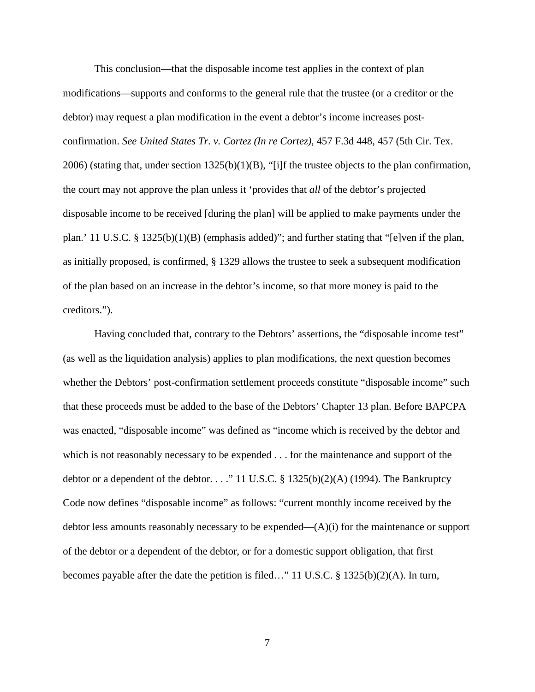This conclusion—that the disposable income test applies in the context of plan modifications—supports and conforms to the general rule that the trustee (or a creditor or the debtor) may request a plan modification in the event a debtor's income increases postconfirmation. *See United States Tr. v. Cortez (In re Cortez)*, 457 F.3d 448, 457 (5th Cir. Tex. 2006) (stating that, under section  $1325(b)(1)(B)$ , "[i]f the trustee objects to the plan confirmation, the court may not approve the plan unless it 'provides that *all* of the debtor's projected disposable income to be received [during the plan] will be applied to make payments under the plan.' 11 U.S.C. § 1325(b)(1)(B) (emphasis added)"; and further stating that "[e]ven if the plan, as initially proposed, is confirmed, § 1329 allows the trustee to seek a subsequent modification of the plan based on an increase in the debtor's income, so that more money is paid to the creditors.").

Having concluded that, contrary to the Debtors' assertions, the "disposable income test" (as well as the liquidation analysis) applies to plan modifications, the next question becomes whether the Debtors' post-confirmation settlement proceeds constitute "disposable income" such that these proceeds must be added to the base of the Debtors' Chapter 13 plan. Before BAPCPA was enacted, "disposable income" was defined as "income which is received by the debtor and which is not reasonably necessary to be expended . . . for the maintenance and support of the debtor or a dependent of the debtor. . . ." 11 U.S.C.  $\S$  1325(b)(2)(A) (1994). The Bankruptcy Code now defines "disposable income" as follows: "current monthly income received by the debtor less amounts reasonably necessary to be expended—(A)(i) for the maintenance or support of the debtor or a dependent of the debtor, or for a domestic support obligation, that first becomes payable after the date the petition is filed…" 11 U.S.C. § 1325(b)(2)(A). In turn,

7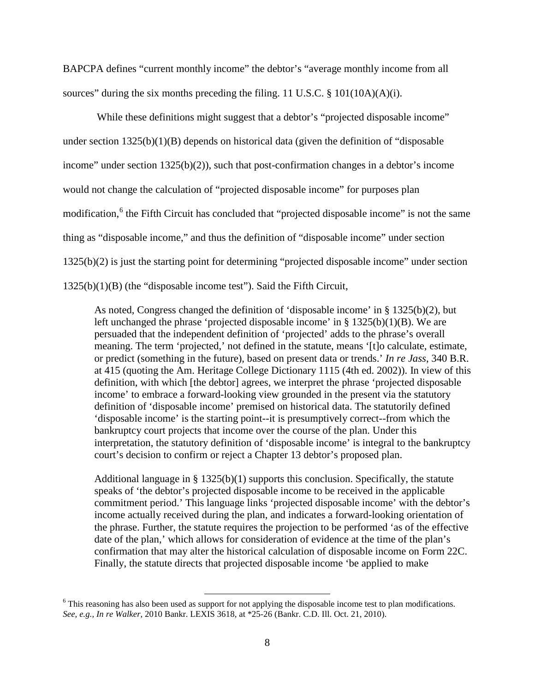BAPCPA defines "current monthly income" the debtor's "average monthly income from all sources" during the six months preceding the filing. 11 U.S.C.  $\S$  101(10A)(A)(i).

While these definitions might suggest that a debtor's "projected disposable income" under section  $1325(b)(1)(B)$  depends on historical data (given the definition of "disposable" income" under section 1325(b)(2)), such that post-confirmation changes in a debtor's income would not change the calculation of "projected disposable income" for purposes plan modification,<sup>[6](#page-7-0)</sup> the Fifth Circuit has concluded that "projected disposable income" is not the same thing as "disposable income," and thus the definition of "disposable income" under section 1325(b)(2) is just the starting point for determining "projected disposable income" under section 1325(b)(1)(B) (the "disposable income test"). Said the Fifth Circuit,

As noted, Congress changed the definition of 'disposable income' in § 1325(b)(2), but left unchanged the phrase 'projected disposable income' in § 1325(b)(1)(B). We are persuaded that the independent definition of 'projected' adds to the phrase's overall meaning. The term 'projected,' not defined in the statute, means '[t]o calculate, estimate, or predict (something in the future), based on present data or trends.' *In re Jass*, 340 B.R. at 415 (quoting the Am. Heritage College Dictionary 1115 (4th ed. 2002)). In view of this definition, with which [the debtor] agrees, we interpret the phrase 'projected disposable income' to embrace a forward-looking view grounded in the present via the statutory definition of 'disposable income' premised on historical data. The statutorily defined 'disposable income' is the starting point--it is presumptively correct--from which the bankruptcy court projects that income over the course of the plan. Under this interpretation, the statutory definition of 'disposable income' is integral to the bankruptcy court's decision to confirm or reject a Chapter 13 debtor's proposed plan.

Additional language in  $\S 1325(b)(1)$  supports this conclusion. Specifically, the statute speaks of 'the debtor's projected disposable income to be received in the applicable commitment period.' This language links 'projected disposable income' with the debtor's income actually received during the plan, and indicates a forward-looking orientation of the phrase. Further, the statute requires the projection to be performed 'as of the effective date of the plan,' which allows for consideration of evidence at the time of the plan's confirmation that may alter the historical calculation of disposable income on Form 22C. Finally, the statute directs that projected disposable income 'be applied to make

<span id="page-7-0"></span><sup>&</sup>lt;sup>6</sup> This reasoning has also been used as support for not applying the disposable income test to plan modifications. *See, e.g., In re Walker*, 2010 Bankr. LEXIS 3618, at \*25-26 (Bankr. C.D. Ill. Oct. 21, 2010).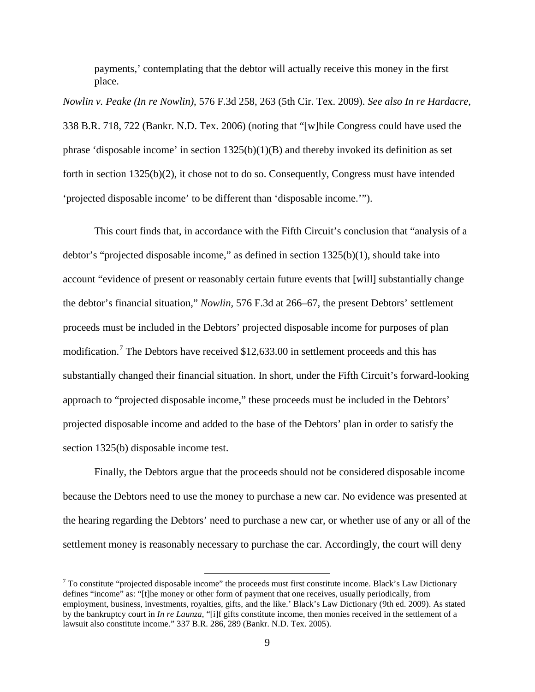payments,' contemplating that the debtor will actually receive this money in the first place.

*Nowlin v. Peake (In re Nowlin)*[, 576 F.3d 258, 263 \(5th Cir. Tex. 2009\).](http://www.lexis.com/research/xlink?app=00075&view=full&searchtype=get&search=576+F.3d+258%2520at%2520263) *See also In re Hardacre*, 338 B.R. 718, 722 (Bankr. N.D. Tex. 2006) (noting that "[w]hile Congress could have used the phrase 'disposable income' in section  $1325(b)(1)(B)$  and thereby invoked its definition as set forth in section 1325(b)(2), it chose not to do so. Consequently, Congress must have intended 'projected disposable income' to be different than 'disposable income.'").

This court finds that, in accordance with the Fifth Circuit's conclusion that "analysis of a debtor's "projected disposable income," as defined in section 1325(b)(1), should take into account "evidence of present or reasonably certain future events that [will] substantially change the debtor's financial situation," *Nowlin,* 576 F.3d at 266–67, the present Debtors' settlement proceeds must be included in the Debtors' projected disposable income for purposes of plan modification.<sup>[7](#page-8-0)</sup> The Debtors have received \$12,633.00 in settlement proceeds and this has substantially changed their financial situation. In short, under the Fifth Circuit's forward-looking approach to "projected disposable income," these proceeds must be included in the Debtors' projected disposable income and added to the base of the Debtors' plan in order to satisfy the section 1325(b) disposable income test.

Finally, the Debtors argue that the proceeds should not be considered disposable income because the Debtors need to use the money to purchase a new car. No evidence was presented at the hearing regarding the Debtors' need to purchase a new car, or whether use of any or all of the settlement money is reasonably necessary to purchase the car. Accordingly, the court will deny

<span id="page-8-0"></span> $7$  To constitute "projected disposable income" the proceeds must first constitute income. Black's Law Dictionary defines "income" as: "[t]he money or other form of payment that one receives, usually periodically, from employment, business, investments, royalties, gifts, and the like.' Black's Law Dictionary (9th ed. 2009). As stated by the bankruptcy court in *In re Launza*, "[i]f gifts constitute income, then monies received in the settlement of a lawsuit also constitute income." 337 B.R. 286, 289 (Bankr. N.D. Tex. 2005).